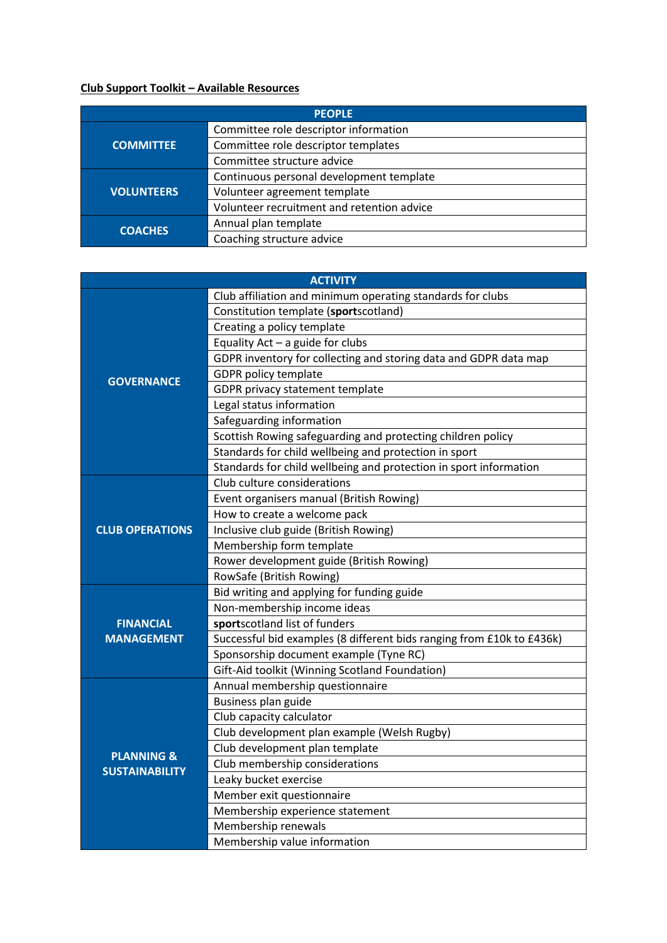## **Club Support Toolkit – Available Resources**

| <b>PEOPLE</b>     |                                            |  |
|-------------------|--------------------------------------------|--|
| <b>COMMITTEE</b>  | Committee role descriptor information      |  |
|                   | Committee role descriptor templates        |  |
|                   | Committee structure advice                 |  |
| <b>VOLUNTEERS</b> | Continuous personal development template   |  |
|                   | Volunteer agreement template               |  |
|                   | Volunteer recruitment and retention advice |  |
| <b>COACHES</b>    | Annual plan template                       |  |
|                   | Coaching structure advice                  |  |

|                                                | <b>ACTIVITY</b>                                                       |
|------------------------------------------------|-----------------------------------------------------------------------|
| <b>GOVERNANCE</b>                              | Club affiliation and minimum operating standards for clubs            |
|                                                | Constitution template (sportscotland)                                 |
|                                                | Creating a policy template                                            |
|                                                | Equality Act - a guide for clubs                                      |
|                                                | GDPR inventory for collecting and storing data and GDPR data map      |
|                                                | <b>GDPR policy template</b>                                           |
|                                                | GDPR privacy statement template                                       |
|                                                | Legal status information                                              |
|                                                | Safeguarding information                                              |
|                                                | Scottish Rowing safeguarding and protecting children policy           |
|                                                | Standards for child wellbeing and protection in sport                 |
|                                                | Standards for child wellbeing and protection in sport information     |
|                                                | Club culture considerations                                           |
|                                                | Event organisers manual (British Rowing)                              |
| <b>CLUB OPERATIONS</b>                         | How to create a welcome pack                                          |
|                                                | Inclusive club guide (British Rowing)                                 |
|                                                | Membership form template                                              |
|                                                | Rower development guide (British Rowing)                              |
|                                                | RowSafe (British Rowing)                                              |
|                                                | Bid writing and applying for funding guide                            |
|                                                | Non-membership income ideas                                           |
| <b>FINANCIAL</b>                               | sportscotland list of funders                                         |
| <b>MANAGEMENT</b>                              | Successful bid examples (8 different bids ranging from £10k to £436k) |
|                                                | Sponsorship document example (Tyne RC)                                |
|                                                | Gift-Aid toolkit (Winning Scotland Foundation)                        |
| <b>PLANNING &amp;</b><br><b>SUSTAINABILITY</b> | Annual membership questionnaire                                       |
|                                                | Business plan guide                                                   |
|                                                | Club capacity calculator                                              |
|                                                | Club development plan example (Welsh Rugby)                           |
|                                                | Club development plan template                                        |
|                                                | Club membership considerations                                        |
|                                                | Leaky bucket exercise                                                 |
|                                                | Member exit questionnaire                                             |
|                                                | Membership experience statement                                       |
|                                                | Membership renewals                                                   |
|                                                | Membership value information                                          |